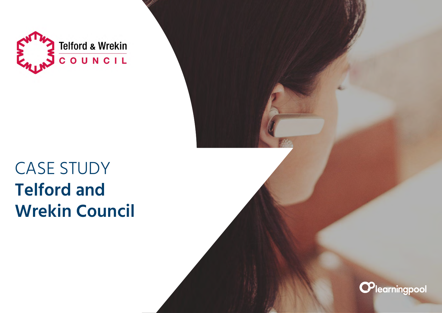

## CASE STUDY **Telford and Wrekin Council**

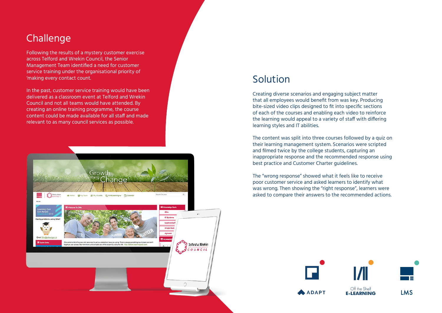## **Challenge**

Following the results of a mystery customer exercise across Telford and Wrekin Council, the Senior Management Team identified a need for customer service training under the organisational priority of 'making every contact count.

In the past, customer service training would have been delivered as a classroom event at Telford and Wrekin Council and not all teams would have attended. By creating an online training programme, the course content could be made available for all staff and made relevant to as many council services as possible.



## Solution

Creating diverse scenarios and engaging subject matter that all employees would benefit from was key. Producing bite-sized video clips designed to fit into specific sections of each of the courses and enabling each video to reinforce the learning would appeal to a variety of staff with differing learning styles and IT abilities.

The content was split into three courses followed by a quiz on their learning management system. Scenarios were scripted and filmed twice by the college students, capturing an inappropriate response and the recommended response using best practice and Customer Charter guidelines.

The "wrong response" showed what it feels like to receive poor customer service and asked learners to identify what was wrong. Then showing the "right response", learners were asked to compare their answers to the recommended actions.

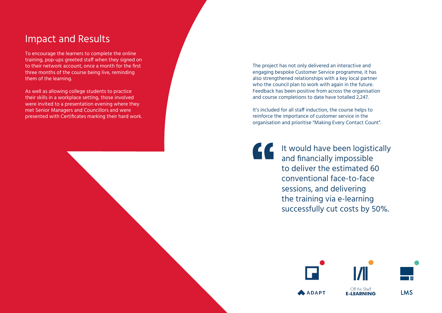## Impact and Results

To encourage the learners to complete the online training, pop-ups greeted staff when they signed on to their network account, once a month for the first three months of the course being live, reminding them of the learning.

As well as allowing college students to practice their skills in a workplace setting, those involved were invited to a presentation evening where they met Senior Managers and Councillors and were presented with Certificates marking their hard work. The project has not only delivered an interactive and engaging bespoke Customer Service programme, it has also strengthened relationships with a key local partner who the council plan to work with again in the future. Feedback has been positive from across the organisation and course completions to date have totalled 2,247.

It's included for all staff induction, the course helps to reinforce the importance of customer service in the organisation and prioritise "Making Every Contact Count".

It would have been logistically and financially impossible to deliver the estimated 60 conventional face-to-face sessions, and delivering the training via e-learning successfully cut costs by 50%.